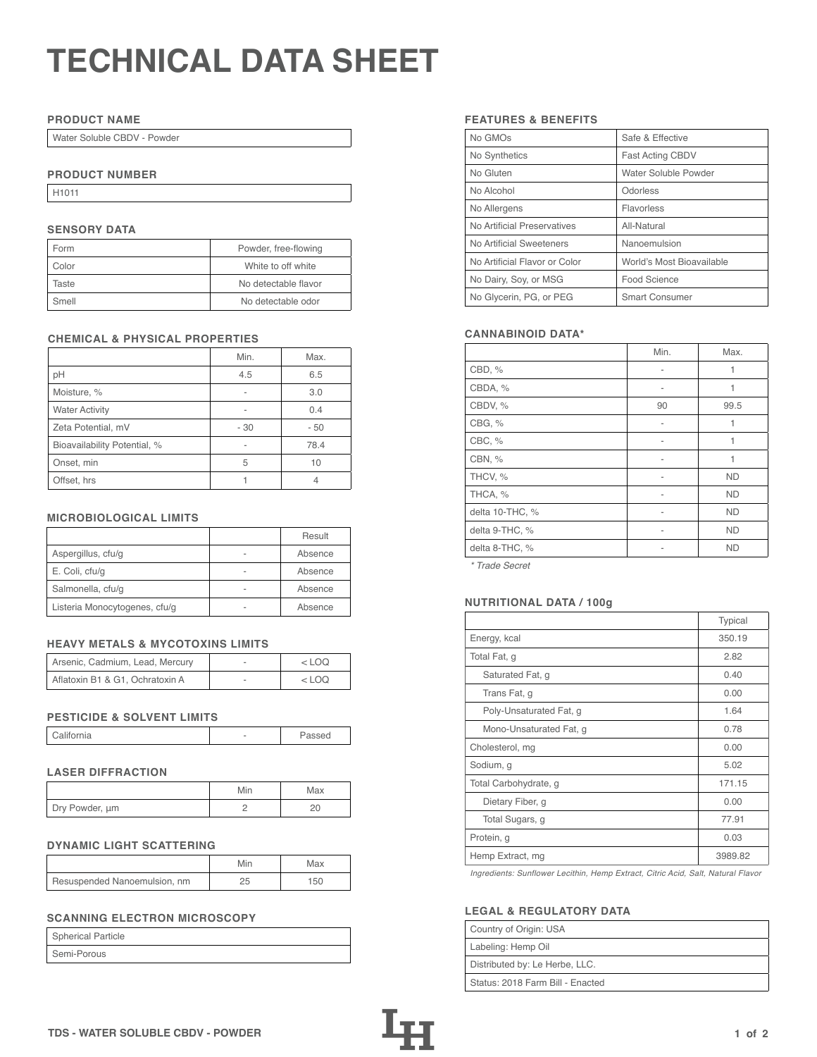# **TECHNICAL DATA SHEET**

## **PRODUCT NAME**

Water Soluble CBDV - Powder

# **PRODUCT NUMBER**

H1011

# **SENSORY DATA**

| Form  | Powder, free-flowing |
|-------|----------------------|
| Color | White to off white   |
| Taste | No detectable flavor |
| Smell | No detectable odor   |

# **CHEMICAL & PHYSICAL PROPERTIES**

|                              | Min. | Max. |
|------------------------------|------|------|
| рH                           | 4.5  | 6.5  |
| Moisture, %                  |      | 3.0  |
| <b>Water Activity</b>        |      | 0.4  |
| Zeta Potential, mV           | - 30 | - 50 |
| Bioavailability Potential, % |      | 78.4 |
| Onset, min                   | 5    | 10   |
| Offset, hrs                  |      |      |

## **MICROBIOLOGICAL LIMITS**

|                               |   | Result  |
|-------------------------------|---|---------|
| Aspergillus, cfu/g            |   | Absence |
| E. Coli, cfu/g                | - | Absence |
| Salmonella, cfu/g             |   | Absence |
| Listeria Monocytogenes, cfu/g |   | Absence |

## **HEAVY METALS & MYCOTOXINS LIMITS**

| Arsenic, Cadmium, Lead, Mercury | $<$ LOO |
|---------------------------------|---------|
| Aflatoxin B1 & G1, Ochratoxin A | <100    |

#### **PESTICIDE & SOLVENT LIMITS**

| California |  | Passed |
|------------|--|--------|
|------------|--|--------|

# **LASER DIFFRACTION**

|                | Min | Max |
|----------------|-----|-----|
| Dry Powder, um |     |     |

#### **DYNAMIC LIGHT SCATTERING**

|                              | Min | Max |
|------------------------------|-----|-----|
| Resuspended Nanoemulsion, nm |     | 150 |

# **SCANNING ELECTRON MICROSCOPY**

| <b>Spherical Particle</b> |  |
|---------------------------|--|
| Semi-Porous               |  |

## **FEATURES & BENEFITS**

| No GMOs                       | Safe & Effective          |
|-------------------------------|---------------------------|
| No Synthetics                 | <b>Fast Acting CBDV</b>   |
| No Gluten                     | Water Soluble Powder      |
| No Alcohol                    | Odorless                  |
| No Allergens                  | Flavorless                |
| No Artificial Preservatives   | All-Natural               |
| No Artificial Sweeteners      | Nanoemulsion              |
| No Artificial Flavor or Color | World's Most Bioavailable |
| No Dairy, Soy, or MSG         | Food Science              |
| No Glycerin, PG, or PEG       | <b>Smart Consumer</b>     |

## **CANNABINOID DATA\***

|                 | Min. | Max.      |
|-----------------|------|-----------|
| CBD, %          | ۰    | 1         |
| CBDA, %         |      | 1         |
| CBDV, %         | 90   | 99.5      |
| CBG, %          | ۰    | 1         |
| CBC, %          | ۰    | 1         |
| CBN, %          | ۰    | 1         |
| THCV, %         |      | <b>ND</b> |
| THCA, %         | ۰    | <b>ND</b> |
| delta 10-THC, % | ۰    | <b>ND</b> |
| delta 9-THC, %  |      | <b>ND</b> |
| delta 8-THC, %  |      | <b>ND</b> |

*\* Trade Secret*

## Listeria Monocytogenes, cfu/g - Absence **NUTRITIONAL DATA / 100g**

|                         | Typical |
|-------------------------|---------|
| Energy, kcal            | 350.19  |
| Total Fat, g            | 2.82    |
| Saturated Fat, g        | 0.40    |
| Trans Fat, q            | 0.00    |
| Poly-Unsaturated Fat, g | 1.64    |
| Mono-Unsaturated Fat, g | 0.78    |
| Cholesterol, mg         | 0.00    |
| Sodium, g               | 5.02    |
| Total Carbohydrate, g   | 171.15  |
| Dietary Fiber, g        | 0.00    |
| Total Sugars, g         | 77.91   |
| Protein, g              | 0.03    |
| Hemp Extract, mg        | 3989.82 |

*Ingredients: Sunflower Lecithin, Hemp Extract, Citric Acid, Salt, Natural Flavor*

## **LEGAL & REGULATORY DATA**

| Country of Origin: USA           |
|----------------------------------|
| Labeling: Hemp Oil               |
| Distributed by: Le Herbe, LLC.   |
| Status: 2018 Farm Bill - Enacted |